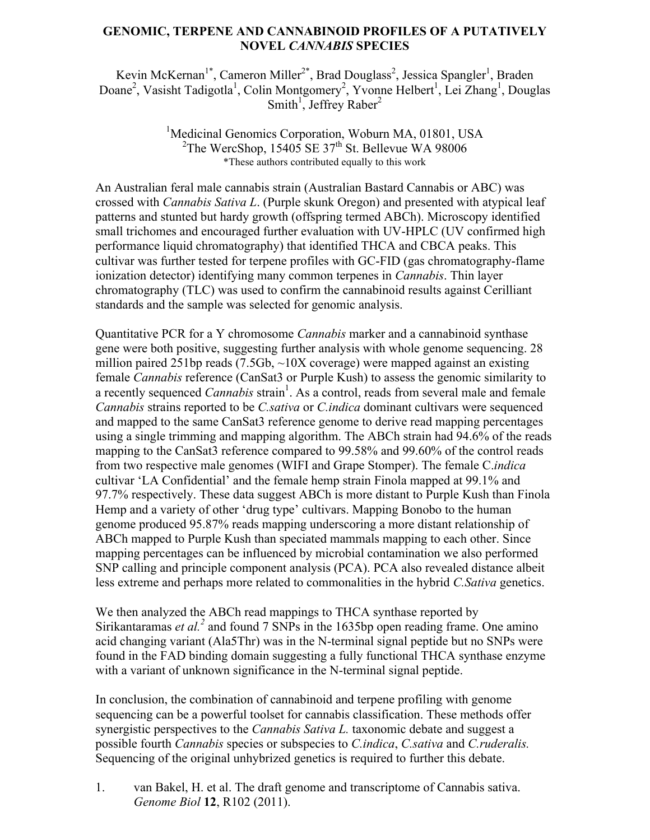## **GENOMIC, TERPENE AND CANNABINOID PROFILES OF A PUTATIVELY NOVEL** *CANNABIS* **SPECIES**

Kevin McKernan<sup>1\*</sup>, Cameron Miller<sup>2\*</sup>, Brad Douglass<sup>2</sup>, Jessica Spangler<sup>1</sup>, Braden Doane<sup>2</sup>, Vasisht Tadigotla<sup>1</sup>, Colin Montgomery<sup>2</sup>, Yvonne Helbert<sup>1</sup>, Lei Zhang<sup>1</sup>, Douglas Smith<sup>1</sup>, Jeffrey Raber<sup>2</sup>

> <sup>1</sup>Medicinal Genomics Corporation, Woburn MA, 01801, USA <sup>2</sup>The WercShop, 15405 SE 37<sup>th</sup> St. Bellevue WA 98006 \*These authors contributed equally to this work

An Australian feral male cannabis strain (Australian Bastard Cannabis or ABC) was crossed with *Cannabis Sativa L*. (Purple skunk Oregon) and presented with atypical leaf patterns and stunted but hardy growth (offspring termed ABCh). Microscopy identified small trichomes and encouraged further evaluation with UV-HPLC (UV confirmed high performance liquid chromatography) that identified THCA and CBCA peaks. This cultivar was further tested for terpene profiles with GC-FID (gas chromatography-flame ionization detector) identifying many common terpenes in *Cannabis*. Thin layer chromatography (TLC) was used to confirm the cannabinoid results against Cerilliant standards and the sample was selected for genomic analysis.

Quantitative PCR for a Y chromosome *Cannabis* marker and a cannabinoid synthase gene were both positive, suggesting further analysis with whole genome sequencing. 28 million paired 251bp reads  $(7.5Gb, \sim 10X)$  coverage) were mapped against an existing female *Cannabis* reference (CanSat3 or Purple Kush) to assess the genomic similarity to a recently sequenced *Cannabis* strain<sup>1</sup>. As a control, reads from several male and female *Cannabis* strains reported to be *C.sativa* or *C.indica* dominant cultivars were sequenced and mapped to the same CanSat3 reference genome to derive read mapping percentages using a single trimming and mapping algorithm. The ABCh strain had 94.6% of the reads mapping to the CanSat3 reference compared to 99.58% and 99.60% of the control reads from two respective male genomes (WIFI and Grape Stomper). The female C.*indica* cultivar 'LA Confidential' and the female hemp strain Finola mapped at 99.1% and 97.7% respectively. These data suggest ABCh is more distant to Purple Kush than Finola Hemp and a variety of other 'drug type' cultivars. Mapping Bonobo to the human genome produced 95.87% reads mapping underscoring a more distant relationship of ABCh mapped to Purple Kush than speciated mammals mapping to each other. Since mapping percentages can be influenced by microbial contamination we also performed SNP calling and principle component analysis (PCA). PCA also revealed distance albeit less extreme and perhaps more related to commonalities in the hybrid *C.Sativa* genetics.

We then analyzed the ABCh read mappings to THCA synthase reported by Sirikantaramas *et al.*<sup>2</sup> and found 7 SNPs in the 1635bp open reading frame. One amino acid changing variant (Ala5Thr) was in the N-terminal signal peptide but no SNPs were found in the FAD binding domain suggesting a fully functional THCA synthase enzyme with a variant of unknown significance in the N-terminal signal peptide.

In conclusion, the combination of cannabinoid and terpene profiling with genome sequencing can be a powerful toolset for cannabis classification. These methods offer synergistic perspectives to the *Cannabis Sativa L.* taxonomic debate and suggest a possible fourth *Cannabis* species or subspecies to *C.indica*, *C.sativa* and *C.ruderalis.* Sequencing of the original unhybrized genetics is required to further this debate.

1. van Bakel, H. et al. The draft genome and transcriptome of Cannabis sativa. *Genome Biol* **12**, R102 (2011).